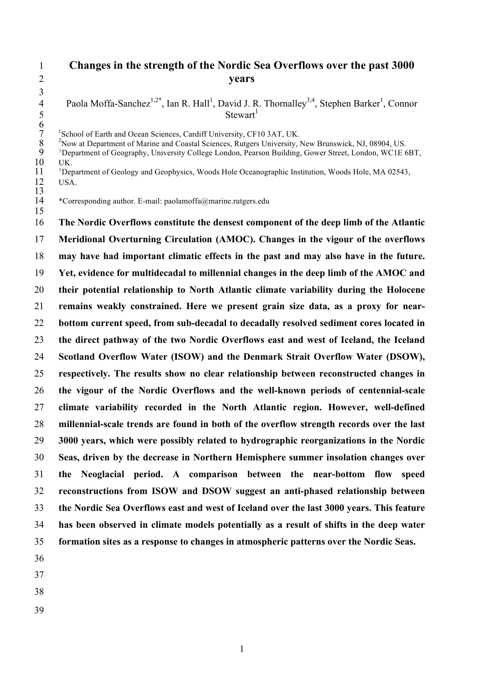# **Changes in the strength of the Nordic Sea Overflows over the past 3000 years**

4 Paola Moffa-Sanchez<sup>1,2\*</sup>, Ian R. Hall<sup>1</sup>, David J. R. Thornalley<sup>3,4</sup>, Stephen Barker<sup>1</sup>, Connor Stewart<sup>1</sup><br>
6<br>
<sup>1</sup>School of Earth and Ocean Sciences, Cardiff University, CF1<br>
<sup>2</sup>Now at Department of Marine and Coastal Sciences, Rutgers<br>
<sup>3</sup>Department of Geography, University College London, Pears

<sup>1</sup> School of Earth and Ocean Sciences, Cardiff University, CF10 3AT, UK. <sup>2</sup> Now at Department of Marine and Coastal Sciences, Rutgers University, New Brunswick, NJ, 08904, US.

<sup>3</sup> Department of Geography, University College London, Pearson Building, Gower Street, London, WC1E 6BT,  $\frac{10}{11}$  UK.<br> $\frac{4}{1}$  Der

<sup>4</sup> Department of Geology and Geophysics, Woods Hole Oceanographic Institution, Woods Hole, MA 02543, USA. USA.

 $\frac{13}{14}$  \*Corresponding author. E-mail: paolamoffa@marine.rutgers.edu 

 **The Nordic Overflows constitute the densest component of the deep limb of the Atlantic Meridional Overturning Circulation (AMOC). Changes in the vigour of the overflows may have had important climatic effects in the past and may also have in the future. Yet, evidence for multidecadal to millennial changes in the deep limb of the AMOC and their potential relationship to North Atlantic climate variability during the Holocene remains weakly constrained. Here we present grain size data, as a proxy for near- bottom current speed, from sub-decadal to decadally resolved sediment cores located in the direct pathway of the two Nordic Overflows east and west of Iceland, the Iceland Scotland Overflow Water (ISOW) and the Denmark Strait Overflow Water (DSOW), respectively. The results show no clear relationship between reconstructed changes in the vigour of the Nordic Overflows and the well-known periods of centennial-scale climate variability recorded in the North Atlantic region. However, well-defined millennial-scale trends are found in both of the overflow strength records over the last 3000 years, which were possibly related to hydrographic reorganizations in the Nordic Seas, driven by the decrease in Northern Hemisphere summer insolation changes over the Neoglacial period. A comparison between the near-bottom flow speed reconstructions from ISOW and DSOW suggest an anti-phased relationship between the Nordic Sea Overflows east and west of Iceland over the last 3000 years. This feature has been observed in climate models potentially as a result of shifts in the deep water formation sites as a response to changes in atmospheric patterns over the Nordic Seas.**

- 
- 
-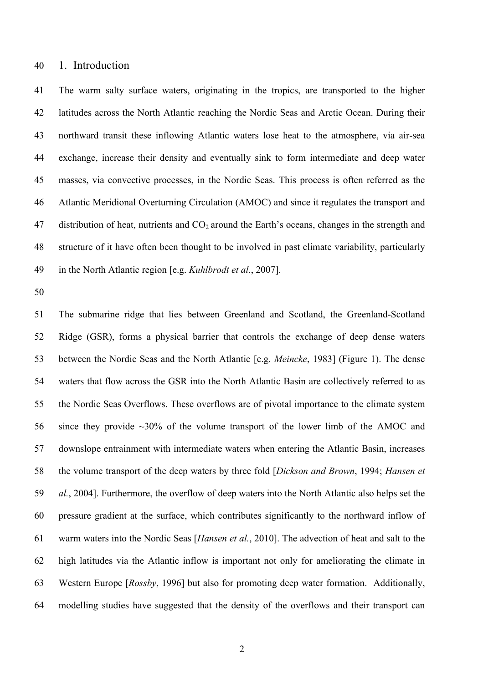### 1. Introduction

 The warm salty surface waters, originating in the tropics, are transported to the higher latitudes across the North Atlantic reaching the Nordic Seas and Arctic Ocean. During their northward transit these inflowing Atlantic waters lose heat to the atmosphere, via air-sea exchange, increase their density and eventually sink to form intermediate and deep water masses, via convective processes, in the Nordic Seas. This process is often referred as the Atlantic Meridional Overturning Circulation (AMOC) and since it regulates the transport and 47 distribution of heat, nutrients and  $CO<sub>2</sub>$  around the Earth's oceans, changes in the strength and structure of it have often been thought to be involved in past climate variability, particularly in the North Atlantic region [e.g. *Kuhlbrodt et al.*, 2007].

 The submarine ridge that lies between Greenland and Scotland, the Greenland-Scotland Ridge (GSR), forms a physical barrier that controls the exchange of deep dense waters between the Nordic Seas and the North Atlantic [e.g. *Meincke*, 1983] (Figure 1). The dense waters that flow across the GSR into the North Atlantic Basin are collectively referred to as the Nordic Seas Overflows. These overflows are of pivotal importance to the climate system since they provide ~30% of the volume transport of the lower limb of the AMOC and downslope entrainment with intermediate waters when entering the Atlantic Basin, increases the volume transport of the deep waters by three fold [*Dickson and Brown*, 1994; *Hansen et al.*, 2004]. Furthermore, the overflow of deep waters into the North Atlantic also helps set the pressure gradient at the surface, which contributes significantly to the northward inflow of warm waters into the Nordic Seas [*Hansen et al.*, 2010]. The advection of heat and salt to the high latitudes via the Atlantic inflow is important not only for ameliorating the climate in Western Europe [*Rossby*, 1996] but also for promoting deep water formation. Additionally, modelling studies have suggested that the density of the overflows and their transport can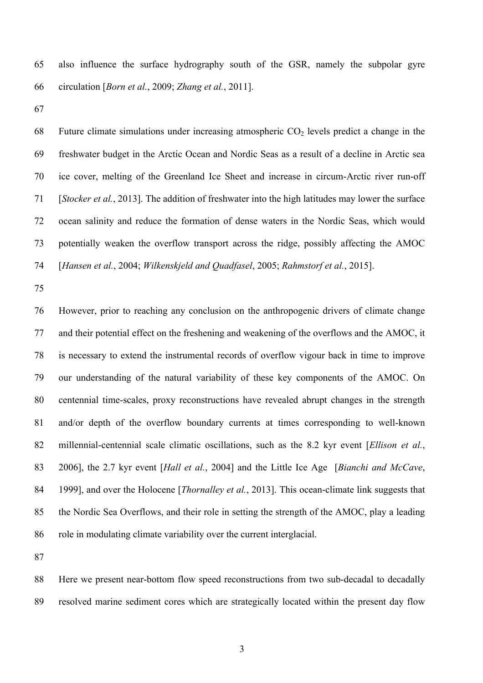also influence the surface hydrography south of the GSR, namely the subpolar gyre circulation [*Born et al.*, 2009; *Zhang et al.*, 2011].

68 Future climate simulations under increasing atmospheric  $CO<sub>2</sub>$  levels predict a change in the freshwater budget in the Arctic Ocean and Nordic Seas as a result of a decline in Arctic sea ice cover, melting of the Greenland Ice Sheet and increase in circum-Arctic river run-off [*Stocker et al.*, 2013]. The addition of freshwater into the high latitudes may lower the surface ocean salinity and reduce the formation of dense waters in the Nordic Seas, which would potentially weaken the overflow transport across the ridge, possibly affecting the AMOC [*Hansen et al.*, 2004; *Wilkenskjeld and Quadfasel*, 2005; *Rahmstorf et al.*, 2015].

 However, prior to reaching any conclusion on the anthropogenic drivers of climate change and their potential effect on the freshening and weakening of the overflows and the AMOC, it is necessary to extend the instrumental records of overflow vigour back in time to improve our understanding of the natural variability of these key components of the AMOC. On centennial time-scales, proxy reconstructions have revealed abrupt changes in the strength and/or depth of the overflow boundary currents at times corresponding to well-known millennial-centennial scale climatic oscillations, such as the 8.2 kyr event [*Ellison et al.*, 2006], the 2.7 kyr event [*Hall et al.*, 2004] and the Little Ice Age [*Bianchi and McCave*, 1999], and over the Holocene [*Thornalley et al.*, 2013]. This ocean-climate link suggests that the Nordic Sea Overflows, and their role in setting the strength of the AMOC, play a leading role in modulating climate variability over the current interglacial.

 Here we present near-bottom flow speed reconstructions from two sub-decadal to decadally resolved marine sediment cores which are strategically located within the present day flow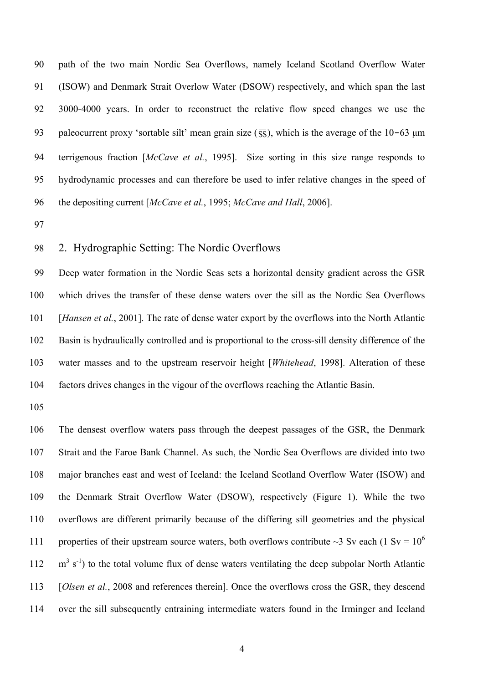path of the two main Nordic Sea Overflows, namely Iceland Scotland Overflow Water (ISOW) and Denmark Strait Overlow Water (DSOW) respectively, and which span the last 3000-4000 years. In order to reconstruct the relative flow speed changes we use the 93 paleocurrent proxy 'sortable silt' mean grain size  $(\overline{SS})$ , which is the average of the 10–63  $\mu$ m terrigenous fraction [*McCave et al.*, 1995]. Size sorting in this size range responds to hydrodynamic processes and can therefore be used to infer relative changes in the speed of the depositing current [*McCave et al.*, 1995; *McCave and Hall*, 2006].

# 2. Hydrographic Setting: The Nordic Overflows

 Deep water formation in the Nordic Seas sets a horizontal density gradient across the GSR which drives the transfer of these dense waters over the sill as the Nordic Sea Overflows [*Hansen et al.*, 2001]. The rate of dense water export by the overflows into the North Atlantic Basin is hydraulically controlled and is proportional to the cross-sill density difference of the water masses and to the upstream reservoir height [*Whitehead*, 1998]. Alteration of these factors drives changes in the vigour of the overflows reaching the Atlantic Basin.

 The densest overflow waters pass through the deepest passages of the GSR, the Denmark Strait and the Faroe Bank Channel. As such, the Nordic Sea Overflows are divided into two major branches east and west of Iceland: the Iceland Scotland Overflow Water (ISOW) and the Denmark Strait Overflow Water (DSOW), respectively (Figure 1). While the two overflows are different primarily because of the differing sill geometries and the physical 111 properties of their upstream source waters, both overflows contribute  $\sim$ 3 Sv each (1 Sv = 10<sup>6</sup>)  $112 \text{ m}^3$  s<sup>-1</sup>) to the total volume flux of dense waters ventilating the deep subpolar North Atlantic [*Olsen et al.*, 2008 and references therein]. Once the overflows cross the GSR, they descend over the sill subsequently entraining intermediate waters found in the Irminger and Iceland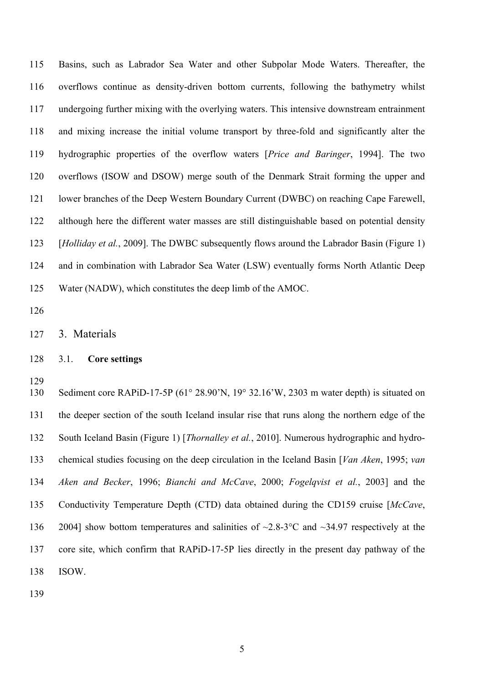Basins, such as Labrador Sea Water and other Subpolar Mode Waters. Thereafter, the overflows continue as density-driven bottom currents, following the bathymetry whilst undergoing further mixing with the overlying waters. This intensive downstream entrainment and mixing increase the initial volume transport by three-fold and significantly alter the hydrographic properties of the overflow waters [*Price and Baringer*, 1994]. The two overflows (ISOW and DSOW) merge south of the Denmark Strait forming the upper and lower branches of the Deep Western Boundary Current (DWBC) on reaching Cape Farewell, although here the different water masses are still distinguishable based on potential density [*Holliday et al.*, 2009]. The DWBC subsequently flows around the Labrador Basin (Figure 1) and in combination with Labrador Sea Water (LSW) eventually forms North Atlantic Deep Water (NADW), which constitutes the deep limb of the AMOC.

### 3.1. **Core settings**

 Sediment core RAPiD-17-5P (61° 28.90'N, 19° 32.16'W, 2303 m water depth) is situated on the deeper section of the south Iceland insular rise that runs along the northern edge of the South Iceland Basin (Figure 1) [*Thornalley et al.*, 2010]. Numerous hydrographic and hydro- chemical studies focusing on the deep circulation in the Iceland Basin [*Van Aken*, 1995; *van Aken and Becker*, 1996; *Bianchi and McCave*, 2000; *Fogelqvist et al.*, 2003] and the Conductivity Temperature Depth (CTD) data obtained during the CD159 cruise [*McCave*, 2004] show bottom temperatures and salinities of ~2.8-3°C and ~34.97 respectively at the core site, which confirm that RAPiD-17-5P lies directly in the present day pathway of the ISOW.

3. Materials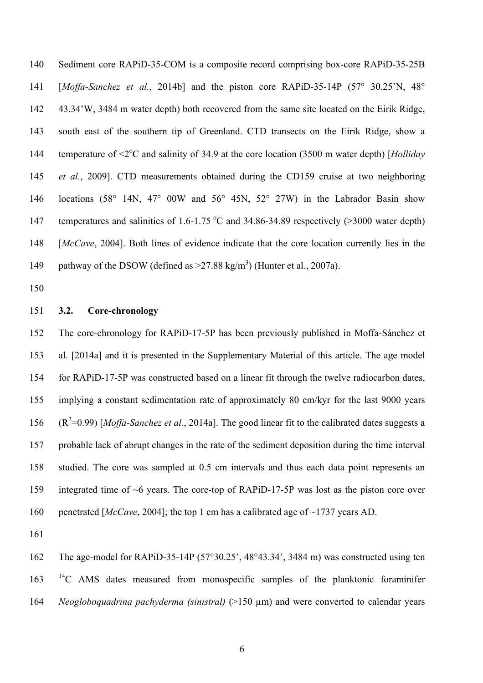Sediment core RAPiD-35-COM is a composite record comprising box-core RAPiD-35-25B [*Moffa-Sanchez et al.*, 2014b] and the piston core RAPiD-35-14P (57° 30.25'N, 48° 43.34'W, 3484 m water depth) both recovered from the same site located on the Eirik Ridge, south east of the southern tip of Greenland. CTD transects on the Eirik Ridge, show a 144 temperature of  $\leq 2^{\circ}$ C and salinity of 34.9 at the core location (3500 m water depth) [*Holliday et al.*, 2009]. CTD measurements obtained during the CD159 cruise at two neighboring locations (58° 14N, 47° 00W and 56° 45N, 52° 27W) in the Labrador Basin show 147 temperatures and salinities of 1.6-1.75  $^{\circ}$ C and 34.86-34.89 respectively (>3000 water depth) [*McCave*, 2004]. Both lines of evidence indicate that the core location currently lies in the 149 pathway of the DSOW (defined as  $>27.88 \text{ kg/m}^3$ ) (Hunter et al., 2007a).

### **3.2. Core-chronology**

 The core-chronology for RAPiD-17-5P has been previously published in Moffa-Sánchez et al. [2014a] and it is presented in the Supplementary Material of this article. The age model for RAPiD-17-5P was constructed based on a linear fit through the twelve radiocarbon dates, implying a constant sedimentation rate of approximately 80 cm/kyr for the last 9000 years  $(R^2=0.99)$  [*Moffa-Sanchez et al.*, 2014a]. The good linear fit to the calibrated dates suggests a probable lack of abrupt changes in the rate of the sediment deposition during the time interval studied. The core was sampled at 0.5 cm intervals and thus each data point represents an integrated time of ~6 years. The core-top of RAPiD-17-5P was lost as the piston core over penetrated [*McCave*, 2004]; the top 1 cm has a calibrated age of ~1737 years AD.

 The age-model for RAPiD-35-14P (57°30.25', 48°43.34', 3484 m) was constructed using ten <sup>14</sup>C AMS dates measured from monospecific samples of the planktonic foraminifer *Neogloboquadrina pachyderma (sinistral)* (>150 µm) and were converted to calendar years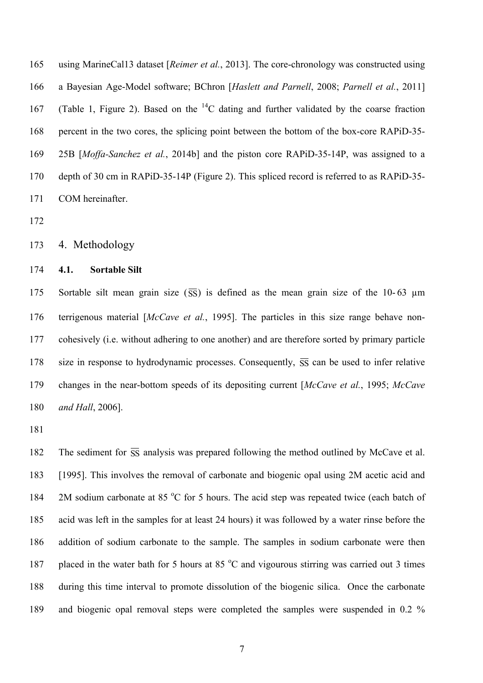using MarineCal13 dataset [*Reimer et al.*, 2013]. The core-chronology was constructed using a Bayesian Age-Model software; BChron [*Haslett and Parnell*, 2008; *Parnell et al.*, 2011] 167 (Table 1, Figure 2). Based on the  ${}^{14}C$  dating and further validated by the coarse fraction percent in the two cores, the splicing point between the bottom of the box-core RAPiD-35- 25B [*Moffa-Sanchez et al.*, 2014b] and the piston core RAPiD-35-14P, was assigned to a depth of 30 cm in RAPiD-35-14P (Figure 2). This spliced record is referred to as RAPiD-35- COM hereinafter.

# 4. Methodology

# **4.1. Sortable Silt**

175 Sortable silt mean grain size  $\overline{(\overline{SS})}$  is defined as the mean grain size of the 10-63  $\mu$ m terrigenous material [*McCave et al.*, 1995]. The particles in this size range behave non- cohesively (i.e. without adhering to one another) and are therefore sorted by primary particle 178 size in response to hydrodynamic processes. Consequently,  $\overline{SS}$  can be used to infer relative changes in the near-bottom speeds of its depositing current [*McCave et al.*, 1995; *McCave and Hall*, 2006].

182 The sediment for  $\overline{SS}$  analysis was prepared following the method outlined by McCave et al. [1995]. This involves the removal of carbonate and biogenic opal using 2M acetic acid and 184 2M sodium carbonate at 85  $\degree$ C for 5 hours. The acid step was repeated twice (each batch of acid was left in the samples for at least 24 hours) it was followed by a water rinse before the addition of sodium carbonate to the sample. The samples in sodium carbonate were then 187 placed in the water bath for 5 hours at 85  $\degree$ C and vigourous stirring was carried out 3 times during this time interval to promote dissolution of the biogenic silica. Once the carbonate and biogenic opal removal steps were completed the samples were suspended in 0.2 %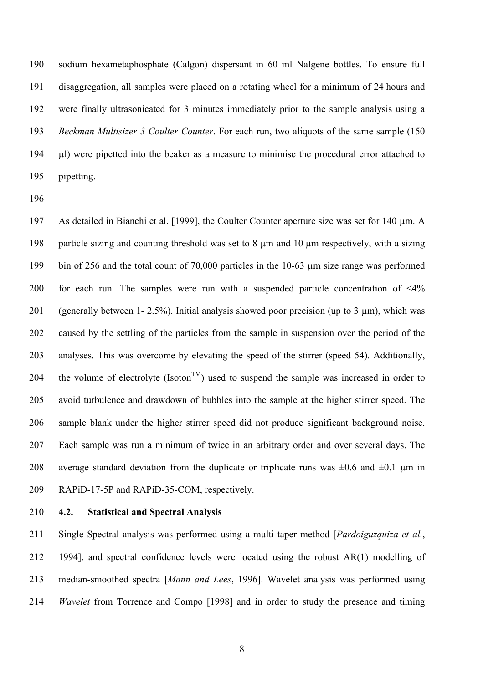sodium hexametaphosphate (Calgon) dispersant in 60 ml Nalgene bottles. To ensure full disaggregation, all samples were placed on a rotating wheel for a minimum of 24 hours and were finally ultrasonicated for 3 minutes immediately prior to the sample analysis using a *Beckman Multisizer 3 Coulter Counter*. For each run, two aliquots of the same sample (150 µl) were pipetted into the beaker as a measure to minimise the procedural error attached to pipetting.

197 As detailed in Bianchi et al. [1999], the Coulter Counter aperture size was set for 140  $\mu$ m. A particle sizing and counting threshold was set to 8 µm and 10 µm respectively, with a sizing bin of 256 and the total count of 70,000 particles in the 10-63 µm size range was performed for each run. The samples were run with a suspended particle concentration of <4% (generally between 1- 2.5%). Initial analysis showed poor precision (up to 3 µm), which was caused by the settling of the particles from the sample in suspension over the period of the analyses. This was overcome by elevating the speed of the stirrer (speed 54). Additionally, 204 the volume of electrolyte (Isoton<sup>TM</sup>) used to suspend the sample was increased in order to avoid turbulence and drawdown of bubbles into the sample at the higher stirrer speed. The sample blank under the higher stirrer speed did not produce significant background noise. Each sample was run a minimum of twice in an arbitrary order and over several days. The 208 average standard deviation from the duplicate or triplicate runs was  $\pm 0.6$  and  $\pm 0.1$  µm in RAPiD-17-5P and RAPiD-35-COM, respectively.

**4.2. Statistical and Spectral Analysis**

 Single Spectral analysis was performed using a multi-taper method [*Pardoiguzquiza et al.*, 1994], and spectral confidence levels were located using the robust AR(1) modelling of median-smoothed spectra [*Mann and Lees*, 1996]. Wavelet analysis was performed using *Wavelet* from Torrence and Compo [1998] and in order to study the presence and timing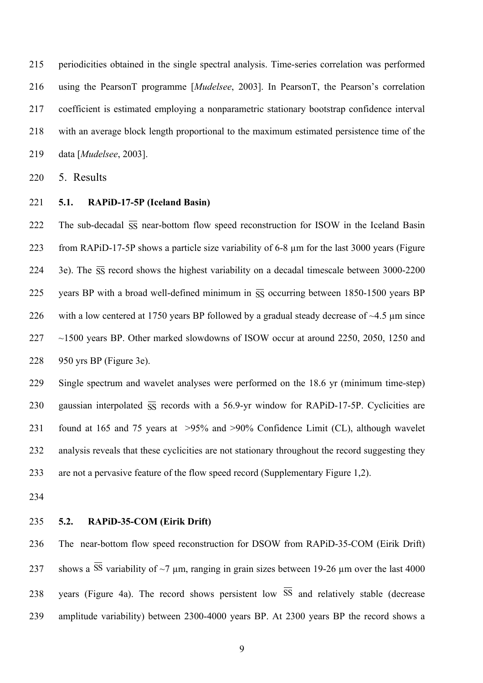periodicities obtained in the single spectral analysis. Time-series correlation was performed using the PearsonT programme [*Mudelsee*, 2003]. In PearsonT, the Pearson's correlation coefficient is estimated employing a nonparametric stationary bootstrap confidence interval with an average block length proportional to the maximum estimated persistence time of the data [*Mudelsee*, 2003].

5. Results

**5.1. RAPiD-17-5P (Iceland Basin)**

222 The sub-decadal  $\overline{SS}$  near-bottom flow speed reconstruction for ISOW in the Iceland Basin from RAPiD-17-5P shows a particle size variability of 6-8 µm for the last 3000 years (Figure 224 3e). The  $\overline{SS}$  record shows the highest variability on a decadal timescale between 3000-2200 225 years BP with a broad well-defined minimum in  $\overline{SS}$  occurring between 1850-1500 years BP 226 with a low centered at 1750 years BP followed by a gradual steady decrease of  $\sim$ 4.5 µm since ~1500 years BP. Other marked slowdowns of ISOW occur at around 2250, 2050, 1250 and 950 yrs BP (Figure 3e).

 Single spectrum and wavelet analyses were performed on the 18.6 yr (minimum time-step) 230 gaussian interpolated  $\overline{SS}$  records with a 56.9-yr window for RAPiD-17-5P. Cyclicities are found at 165 and 75 years at >95% and >90% Confidence Limit (CL), although wavelet analysis reveals that these cyclicities are not stationary throughout the record suggesting they are not a pervasive feature of the flow speed record (Supplementary Figure 1,2).

# **5.2. RAPiD-35-COM (Eirik Drift)**

 The near-bottom flow speed reconstruction for DSOW from RAPiD-35-COM (Eirik Drift) 237 shows a SS variability of  $\sim$ 7 µm, ranging in grain sizes between 19-26 µm over the last 4000 238 years (Figure 4a). The record shows persistent low SS and relatively stable (decrease amplitude variability) between 2300-4000 years BP. At 2300 years BP the record shows a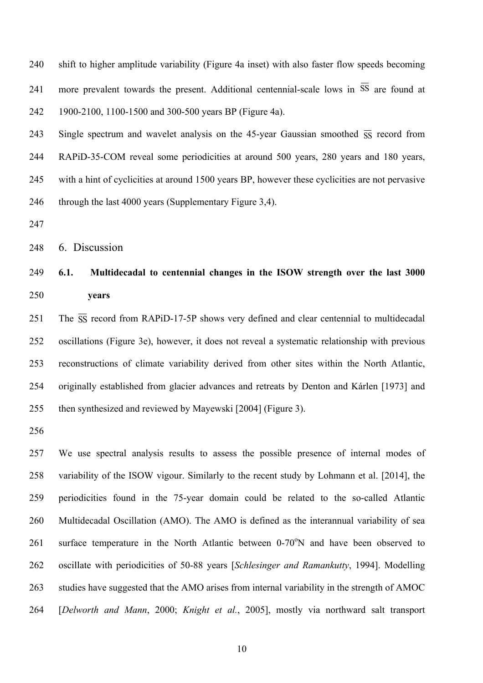shift to higher amplitude variability (Figure 4a inset) with also faster flow speeds becoming 241 more prevalent towards the present. Additional centennial-scale lows in SS are found at 1900-2100, 1100-1500 and 300-500 years BP (Figure 4a).

243 Single spectrum and wavelet analysis on the 45-year Gaussian smoothed  $\overline{SS}$  record from RAPiD-35-COM reveal some periodicities at around 500 years, 280 years and 180 years, with a hint of cyclicities at around 1500 years BP, however these cyclicities are not pervasive 246 through the last 4000 years (Supplementary Figure 3,4).

6. Discussion

# **6.1. Multidecadal to centennial changes in the ISOW strength over the last 3000 years**

251 The  $\overline{SS}$  record from RAPiD-17-5P shows very defined and clear centennial to multidecadal oscillations (Figure 3e), however, it does not reveal a systematic relationship with previous reconstructions of climate variability derived from other sites within the North Atlantic, originally established from glacier advances and retreats by Denton and Kárlen [1973] and then synthesized and reviewed by Mayewski [2004] (Figure 3).

 We use spectral analysis results to assess the possible presence of internal modes of variability of the ISOW vigour. Similarly to the recent study by Lohmann et al. [2014], the periodicities found in the 75-year domain could be related to the so-called Atlantic Multidecadal Oscillation (AMO). The AMO is defined as the interannual variability of sea 261 surface temperature in the North Atlantic between  $0\n-70^\circ$ N and have been observed to oscillate with periodicities of 50-88 years [*Schlesinger and Ramankutty*, 1994]. Modelling studies have suggested that the AMO arises from internal variability in the strength of AMOC [*Delworth and Mann*, 2000; *Knight et al.*, 2005], mostly via northward salt transport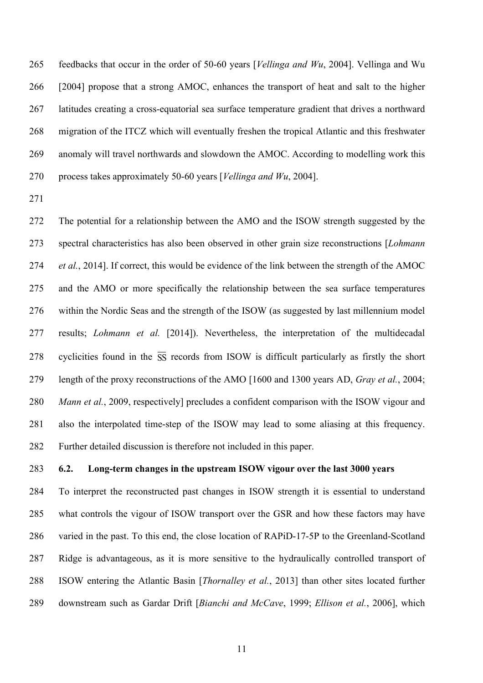feedbacks that occur in the order of 50-60 years [*Vellinga and Wu*, 2004]. Vellinga and Wu [2004] propose that a strong AMOC, enhances the transport of heat and salt to the higher latitudes creating a cross-equatorial sea surface temperature gradient that drives a northward migration of the ITCZ which will eventually freshen the tropical Atlantic and this freshwater anomaly will travel northwards and slowdown the AMOC. According to modelling work this process takes approximately 50-60 years [*Vellinga and Wu*, 2004].

 The potential for a relationship between the AMO and the ISOW strength suggested by the spectral characteristics has also been observed in other grain size reconstructions [*Lohmann et al.*, 2014]. If correct, this would be evidence of the link between the strength of the AMOC and the AMO or more specifically the relationship between the sea surface temperatures within the Nordic Seas and the strength of the ISOW (as suggested by last millennium model results; *Lohmann et al.* [2014]). Nevertheless, the interpretation of the multidecadal 278 cyclicities found in the  $\overline{SS}$  records from ISOW is difficult particularly as firstly the short length of the proxy reconstructions of the AMO [1600 and 1300 years AD, *Gray et al.*, 2004; *Mann et al.*, 2009, respectively] precludes a confident comparison with the ISOW vigour and also the interpolated time-step of the ISOW may lead to some aliasing at this frequency. Further detailed discussion is therefore not included in this paper.

### **6.2. Long-term changes in the upstream ISOW vigour over the last 3000 years**

 To interpret the reconstructed past changes in ISOW strength it is essential to understand what controls the vigour of ISOW transport over the GSR and how these factors may have varied in the past. To this end, the close location of RAPiD-17-5P to the Greenland-Scotland Ridge is advantageous, as it is more sensitive to the hydraulically controlled transport of ISOW entering the Atlantic Basin [*Thornalley et al.*, 2013] than other sites located further downstream such as Gardar Drift [*Bianchi and McCave*, 1999; *Ellison et al.*, 2006], which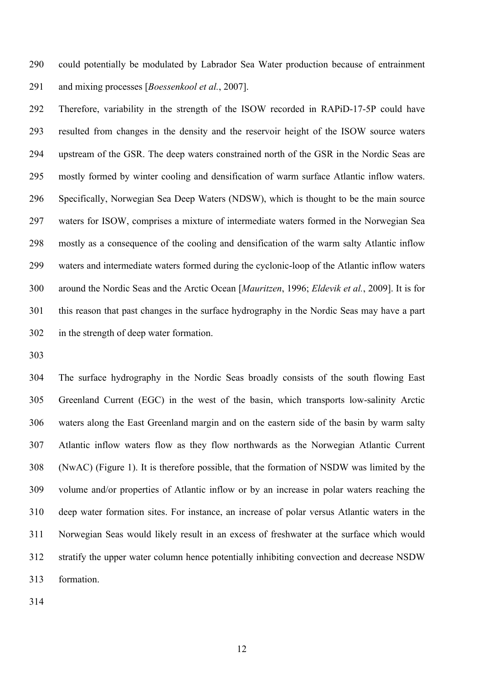could potentially be modulated by Labrador Sea Water production because of entrainment and mixing processes [*Boessenkool et al.*, 2007].

 Therefore, variability in the strength of the ISOW recorded in RAPiD-17-5P could have resulted from changes in the density and the reservoir height of the ISOW source waters upstream of the GSR. The deep waters constrained north of the GSR in the Nordic Seas are mostly formed by winter cooling and densification of warm surface Atlantic inflow waters. Specifically, Norwegian Sea Deep Waters (NDSW), which is thought to be the main source waters for ISOW, comprises a mixture of intermediate waters formed in the Norwegian Sea mostly as a consequence of the cooling and densification of the warm salty Atlantic inflow waters and intermediate waters formed during the cyclonic-loop of the Atlantic inflow waters around the Nordic Seas and the Arctic Ocean [*Mauritzen*, 1996; *Eldevik et al.*, 2009]. It is for this reason that past changes in the surface hydrography in the Nordic Seas may have a part in the strength of deep water formation.

 The surface hydrography in the Nordic Seas broadly consists of the south flowing East Greenland Current (EGC) in the west of the basin, which transports low-salinity Arctic waters along the East Greenland margin and on the eastern side of the basin by warm salty Atlantic inflow waters flow as they flow northwards as the Norwegian Atlantic Current (NwAC) (Figure 1). It is therefore possible, that the formation of NSDW was limited by the volume and/or properties of Atlantic inflow or by an increase in polar waters reaching the deep water formation sites. For instance, an increase of polar versus Atlantic waters in the Norwegian Seas would likely result in an excess of freshwater at the surface which would stratify the upper water column hence potentially inhibiting convection and decrease NSDW formation.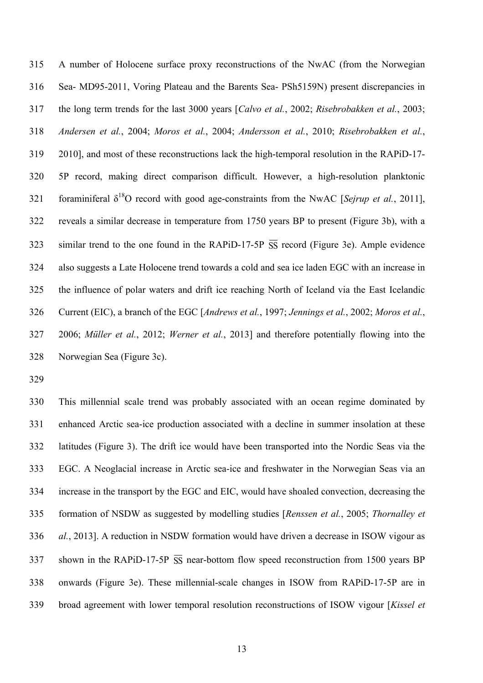A number of Holocene surface proxy reconstructions of the NwAC (from the Norwegian Sea- MD95-2011, Voring Plateau and the Barents Sea- PSh5159N) present discrepancies in the long term trends for the last 3000 years [*Calvo et al.*, 2002; *Risebrobakken et al.*, 2003; *Andersen et al.*, 2004; *Moros et al.*, 2004; *Andersson et al.*, 2010; *Risebrobakken et al.*, 2010], and most of these reconstructions lack the high-temporal resolution in the RAPiD-17- 5P record, making direct comparison difficult. However, a high-resolution planktonic 321 foraminiferal  $\delta^{18}O$  record with good age-constraints from the NwAC [*Sejrup et al.*, 2011], reveals a similar decrease in temperature from 1750 years BP to present (Figure 3b), with a 323 similar trend to the one found in the RAPiD-17-5P  $\overline{SS}$  record (Figure 3e). Ample evidence also suggests a Late Holocene trend towards a cold and sea ice laden EGC with an increase in the influence of polar waters and drift ice reaching North of Iceland via the East Icelandic Current (EIC), a branch of the EGC [*Andrews et al.*, 1997; *Jennings et al.*, 2002; *Moros et al.*, 2006; *Müller et al.*, 2012; *Werner et al.*, 2013] and therefore potentially flowing into the Norwegian Sea (Figure 3c).

 This millennial scale trend was probably associated with an ocean regime dominated by enhanced Arctic sea-ice production associated with a decline in summer insolation at these latitudes (Figure 3). The drift ice would have been transported into the Nordic Seas via the EGC. A Neoglacial increase in Arctic sea-ice and freshwater in the Norwegian Seas via an increase in the transport by the EGC and EIC, would have shoaled convection, decreasing the formation of NSDW as suggested by modelling studies [*Renssen et al.*, 2005; *Thornalley et al.*, 2013]. A reduction in NSDW formation would have driven a decrease in ISOW vigour as 337 shown in the RAPiD-17-5P  $\overline{SS}$  near-bottom flow speed reconstruction from 1500 years BP onwards (Figure 3e). These millennial-scale changes in ISOW from RAPiD-17-5P are in broad agreement with lower temporal resolution reconstructions of ISOW vigour [*Kissel et*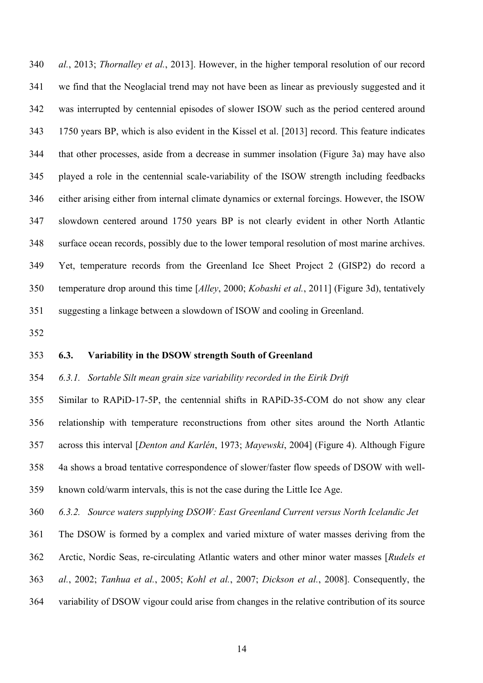*al.*, 2013; *Thornalley et al.*, 2013]. However, in the higher temporal resolution of our record we find that the Neoglacial trend may not have been as linear as previously suggested and it was interrupted by centennial episodes of slower ISOW such as the period centered around 1750 years BP, which is also evident in the Kissel et al. [2013] record. This feature indicates that other processes, aside from a decrease in summer insolation (Figure 3a) may have also played a role in the centennial scale-variability of the ISOW strength including feedbacks either arising either from internal climate dynamics or external forcings. However, the ISOW slowdown centered around 1750 years BP is not clearly evident in other North Atlantic surface ocean records, possibly due to the lower temporal resolution of most marine archives. Yet, temperature records from the Greenland Ice Sheet Project 2 (GISP2) do record a temperature drop around this time [*Alley*, 2000; *Kobashi et al.*, 2011] (Figure 3d), tentatively suggesting a linkage between a slowdown of ISOW and cooling in Greenland.

### **6.3. Variability in the DSOW strength South of Greenland**

### *6.3.1. Sortable Silt mean grain size variability recorded in the Eirik Drift*

 Similar to RAPiD-17-5P, the centennial shifts in RAPiD-35-COM do not show any clear relationship with temperature reconstructions from other sites around the North Atlantic across this interval [*Denton and Karlén*, 1973; *Mayewski*, 2004] (Figure 4). Although Figure 4a shows a broad tentative correspondence of slower/faster flow speeds of DSOW with well-known cold/warm intervals, this is not the case during the Little Ice Age.

*6.3.2. Source waters supplying DSOW: East Greenland Current versus North Icelandic Jet*

The DSOW is formed by a complex and varied mixture of water masses deriving from the

Arctic, Nordic Seas, re-circulating Atlantic waters and other minor water masses [*Rudels et* 

*al.*, 2002; *Tanhua et al.*, 2005; *Kohl et al.*, 2007; *Dickson et al.*, 2008]. Consequently, the

variability of DSOW vigour could arise from changes in the relative contribution of its source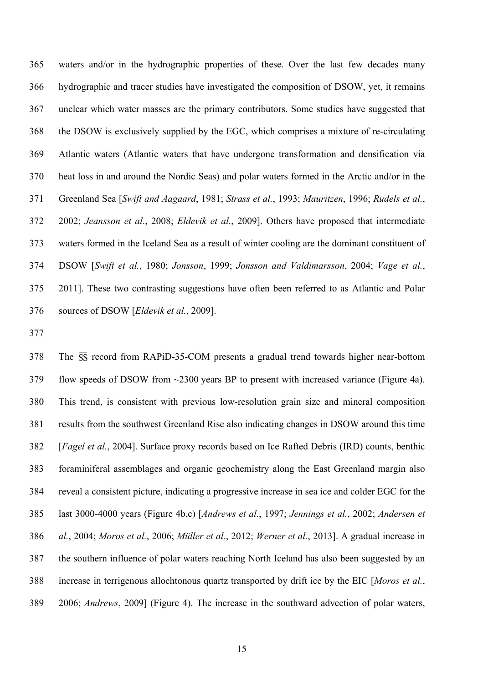waters and/or in the hydrographic properties of these. Over the last few decades many hydrographic and tracer studies have investigated the composition of DSOW, yet, it remains unclear which water masses are the primary contributors. Some studies have suggested that the DSOW is exclusively supplied by the EGC, which comprises a mixture of re-circulating Atlantic waters (Atlantic waters that have undergone transformation and densification via heat loss in and around the Nordic Seas) and polar waters formed in the Arctic and/or in the Greenland Sea [*Swift and Aagaard*, 1981; *Strass et al.*, 1993; *Mauritzen*, 1996; *Rudels et al.*, 2002; *Jeansson et al.*, 2008; *Eldevik et al.*, 2009]. Others have proposed that intermediate waters formed in the Iceland Sea as a result of winter cooling are the dominant constituent of DSOW [*Swift et al.*, 1980; *Jonsson*, 1999; *Jonsson and Valdimarsson*, 2004; *Vage et al.*, 2011]. These two contrasting suggestions have often been referred to as Atlantic and Polar sources of DSOW [*Eldevik et al.*, 2009].

 The SS record from RAPiD-35-COM presents a gradual trend towards higher near-bottom flow speeds of DSOW from ~2300 years BP to present with increased variance (Figure 4a). This trend, is consistent with previous low-resolution grain size and mineral composition results from the southwest Greenland Rise also indicating changes in DSOW around this time [*Fagel et al.*, 2004]. Surface proxy records based on Ice Rafted Debris (IRD) counts, benthic foraminiferal assemblages and organic geochemistry along the East Greenland margin also reveal a consistent picture, indicating a progressive increase in sea ice and colder EGC for the last 3000-4000 years (Figure 4b,c) [*Andrews et al.*, 1997; *Jennings et al.*, 2002; *Andersen et al.*, 2004; *Moros et al.*, 2006; *Müller et al.*, 2012; *Werner et al.*, 2013]. A gradual increase in the southern influence of polar waters reaching North Iceland has also been suggested by an increase in terrigenous allochtonous quartz transported by drift ice by the EIC [*Moros et al.*, 2006; *Andrews*, 2009] (Figure 4). The increase in the southward advection of polar waters,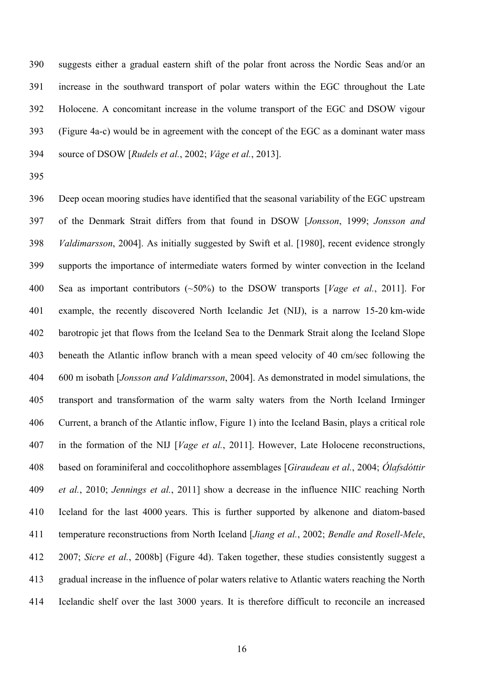suggests either a gradual eastern shift of the polar front across the Nordic Seas and/or an increase in the southward transport of polar waters within the EGC throughout the Late Holocene. A concomitant increase in the volume transport of the EGC and DSOW vigour (Figure 4a-c) would be in agreement with the concept of the EGC as a dominant water mass source of DSOW [*Rudels et al.*, 2002; *Våge et al.*, 2013].

 Deep ocean mooring studies have identified that the seasonal variability of the EGC upstream of the Denmark Strait differs from that found in DSOW [*Jonsson*, 1999; *Jonsson and Valdimarsson*, 2004]. As initially suggested by Swift et al. [1980], recent evidence strongly supports the importance of intermediate waters formed by winter convection in the Iceland Sea as important contributors (~50%) to the DSOW transports [*Vage et al.*, 2011]. For example, the recently discovered North Icelandic Jet (NIJ), is a narrow 15-20 km-wide barotropic jet that flows from the Iceland Sea to the Denmark Strait along the Iceland Slope beneath the Atlantic inflow branch with a mean speed velocity of 40 cm/sec following the 600 m isobath [*Jonsson and Valdimarsson*, 2004]. As demonstrated in model simulations, the transport and transformation of the warm salty waters from the North Iceland Irminger Current, a branch of the Atlantic inflow, Figure 1) into the Iceland Basin, plays a critical role in the formation of the NIJ [*Vage et al.*, 2011]. However, Late Holocene reconstructions, based on foraminiferal and coccolithophore assemblages [*Giraudeau et al.*, 2004; *Ólafsdóttir et al.*, 2010; *Jennings et al.*, 2011] show a decrease in the influence NIIC reaching North Iceland for the last 4000 years. This is further supported by alkenone and diatom-based temperature reconstructions from North Iceland [*Jiang et al.*, 2002; *Bendle and Rosell-Mele*, 2007; *Sicre et al.*, 2008b] (Figure 4d). Taken together, these studies consistently suggest a gradual increase in the influence of polar waters relative to Atlantic waters reaching the North Icelandic shelf over the last 3000 years. It is therefore difficult to reconcile an increased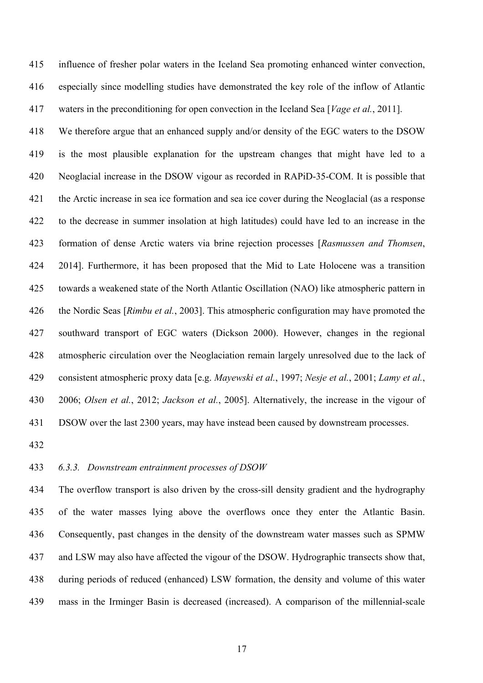influence of fresher polar waters in the Iceland Sea promoting enhanced winter convection, especially since modelling studies have demonstrated the key role of the inflow of Atlantic waters in the preconditioning for open convection in the Iceland Sea [*Vage et al.*, 2011].

 We therefore argue that an enhanced supply and/or density of the EGC waters to the DSOW is the most plausible explanation for the upstream changes that might have led to a Neoglacial increase in the DSOW vigour as recorded in RAPiD-35-COM. It is possible that the Arctic increase in sea ice formation and sea ice cover during the Neoglacial (as a response to the decrease in summer insolation at high latitudes) could have led to an increase in the formation of dense Arctic waters via brine rejection processes [*Rasmussen and Thomsen*, 2014]. Furthermore, it has been proposed that the Mid to Late Holocene was a transition towards a weakened state of the North Atlantic Oscillation (NAO) like atmospheric pattern in the Nordic Seas [*Rimbu et al.*, 2003]. This atmospheric configuration may have promoted the southward transport of EGC waters (Dickson 2000). However, changes in the regional atmospheric circulation over the Neoglaciation remain largely unresolved due to the lack of consistent atmospheric proxy data [e.g. *Mayewski et al.*, 1997; *Nesje et al.*, 2001; *Lamy et al.*, 2006; *Olsen et al.*, 2012; *Jackson et al.*, 2005]. Alternatively, the increase in the vigour of DSOW over the last 2300 years, may have instead been caused by downstream processes.

### *6.3.3. Downstream entrainment processes of DSOW*

 The overflow transport is also driven by the cross-sill density gradient and the hydrography of the water masses lying above the overflows once they enter the Atlantic Basin. Consequently, past changes in the density of the downstream water masses such as SPMW and LSW may also have affected the vigour of the DSOW. Hydrographic transects show that, during periods of reduced (enhanced) LSW formation, the density and volume of this water mass in the Irminger Basin is decreased (increased). A comparison of the millennial-scale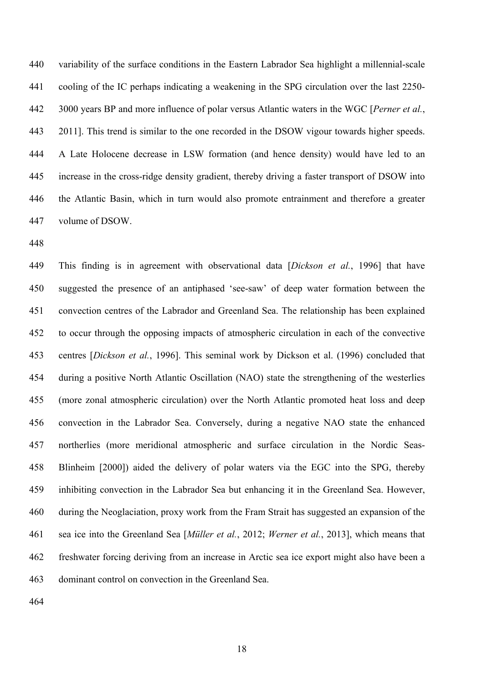variability of the surface conditions in the Eastern Labrador Sea highlight a millennial-scale cooling of the IC perhaps indicating a weakening in the SPG circulation over the last 2250- 3000 years BP and more influence of polar versus Atlantic waters in the WGC [*Perner et al.*, 2011]. This trend is similar to the one recorded in the DSOW vigour towards higher speeds. A Late Holocene decrease in LSW formation (and hence density) would have led to an increase in the cross-ridge density gradient, thereby driving a faster transport of DSOW into the Atlantic Basin, which in turn would also promote entrainment and therefore a greater volume of DSOW.

 This finding is in agreement with observational data [*Dickson et al.*, 1996] that have suggested the presence of an antiphased 'see-saw' of deep water formation between the convection centres of the Labrador and Greenland Sea. The relationship has been explained to occur through the opposing impacts of atmospheric circulation in each of the convective centres [*Dickson et al.*, 1996]. This seminal work by Dickson et al. (1996) concluded that during a positive North Atlantic Oscillation (NAO) state the strengthening of the westerlies (more zonal atmospheric circulation) over the North Atlantic promoted heat loss and deep convection in the Labrador Sea. Conversely, during a negative NAO state the enhanced northerlies (more meridional atmospheric and surface circulation in the Nordic Seas- Blinheim [2000]) aided the delivery of polar waters via the EGC into the SPG, thereby inhibiting convection in the Labrador Sea but enhancing it in the Greenland Sea. However, during the Neoglaciation, proxy work from the Fram Strait has suggested an expansion of the sea ice into the Greenland Sea [*Müller et al.*, 2012; *Werner et al.*, 2013], which means that freshwater forcing deriving from an increase in Arctic sea ice export might also have been a dominant control on convection in the Greenland Sea.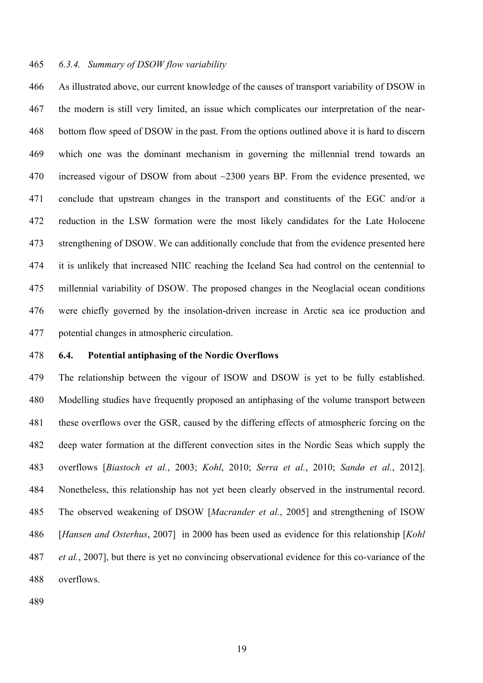#### *6.3.4. Summary of DSOW flow variability*

 As illustrated above, our current knowledge of the causes of transport variability of DSOW in the modern is still very limited, an issue which complicates our interpretation of the near- bottom flow speed of DSOW in the past. From the options outlined above it is hard to discern which one was the dominant mechanism in governing the millennial trend towards an 470 increased vigour of DSOW from about ~2300 years BP. From the evidence presented, we conclude that upstream changes in the transport and constituents of the EGC and/or a reduction in the LSW formation were the most likely candidates for the Late Holocene strengthening of DSOW. We can additionally conclude that from the evidence presented here it is unlikely that increased NIIC reaching the Iceland Sea had control on the centennial to millennial variability of DSOW. The proposed changes in the Neoglacial ocean conditions were chiefly governed by the insolation-driven increase in Arctic sea ice production and potential changes in atmospheric circulation.

### **6.4. Potential antiphasing of the Nordic Overflows**

 The relationship between the vigour of ISOW and DSOW is yet to be fully established. Modelling studies have frequently proposed an antiphasing of the volume transport between these overflows over the GSR, caused by the differing effects of atmospheric forcing on the deep water formation at the different convection sites in the Nordic Seas which supply the overflows [*Biastoch et al.*, 2003; *Kohl*, 2010; *Serra et al.*, 2010; *Sandø et al.*, 2012]. Nonetheless, this relationship has not yet been clearly observed in the instrumental record. The observed weakening of DSOW [*Macrander et al.*, 2005] and strengthening of ISOW [*Hansen and Osterhus*, 2007] in 2000 has been used as evidence for this relationship [*Kohl et al.*, 2007], but there is yet no convincing observational evidence for this co-variance of the overflows.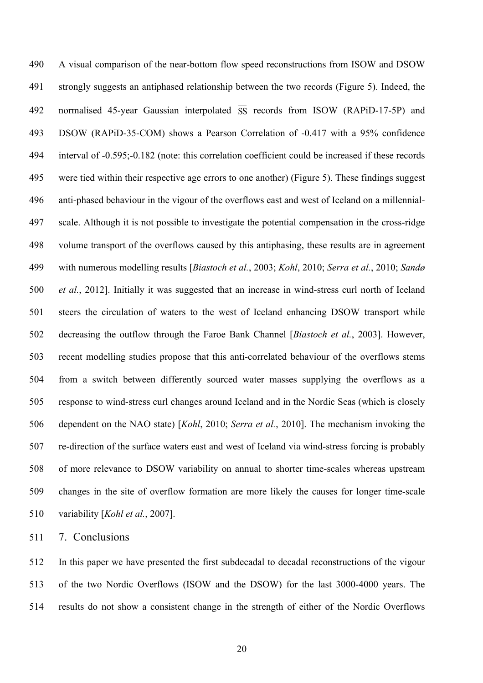A visual comparison of the near-bottom flow speed reconstructions from ISOW and DSOW strongly suggests an antiphased relationship between the two records (Figure 5). Indeed, the 492 normalised 45-year Gaussian interpolated  $\overline{SS}$  records from ISOW (RAPiD-17-5P) and DSOW (RAPiD-35-COM) shows a Pearson Correlation of -0.417 with a 95% confidence interval of -0.595;-0.182 (note: this correlation coefficient could be increased if these records were tied within their respective age errors to one another) (Figure 5). These findings suggest anti-phased behaviour in the vigour of the overflows east and west of Iceland on a millennial- scale. Although it is not possible to investigate the potential compensation in the cross-ridge volume transport of the overflows caused by this antiphasing, these results are in agreement with numerous modelling results [*Biastoch et al.*, 2003; *Kohl*, 2010; *Serra et al.*, 2010; *Sandø et al.*, 2012]. Initially it was suggested that an increase in wind-stress curl north of Iceland steers the circulation of waters to the west of Iceland enhancing DSOW transport while decreasing the outflow through the Faroe Bank Channel [*Biastoch et al.*, 2003]. However, recent modelling studies propose that this anti-correlated behaviour of the overflows stems from a switch between differently sourced water masses supplying the overflows as a response to wind-stress curl changes around Iceland and in the Nordic Seas (which is closely dependent on the NAO state) [*Kohl*, 2010; *Serra et al.*, 2010]. The mechanism invoking the re-direction of the surface waters east and west of Iceland via wind-stress forcing is probably of more relevance to DSOW variability on annual to shorter time-scales whereas upstream changes in the site of overflow formation are more likely the causes for longer time-scale variability [*Kohl et al.*, 2007].

7. Conclusions

 In this paper we have presented the first subdecadal to decadal reconstructions of the vigour of the two Nordic Overflows (ISOW and the DSOW) for the last 3000-4000 years. The results do not show a consistent change in the strength of either of the Nordic Overflows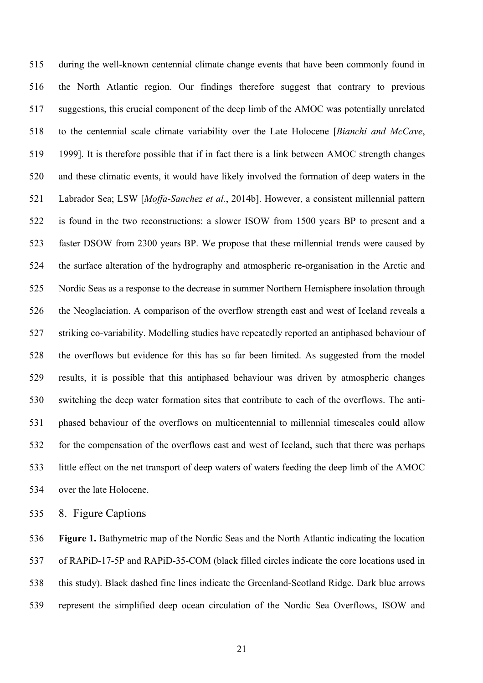during the well-known centennial climate change events that have been commonly found in the North Atlantic region. Our findings therefore suggest that contrary to previous suggestions, this crucial component of the deep limb of the AMOC was potentially unrelated to the centennial scale climate variability over the Late Holocene [*Bianchi and McCave*, 1999]. It is therefore possible that if in fact there is a link between AMOC strength changes and these climatic events, it would have likely involved the formation of deep waters in the Labrador Sea; LSW [*Moffa-Sanchez et al.*, 2014b]. However, a consistent millennial pattern is found in the two reconstructions: a slower ISOW from 1500 years BP to present and a faster DSOW from 2300 years BP. We propose that these millennial trends were caused by the surface alteration of the hydrography and atmospheric re-organisation in the Arctic and Nordic Seas as a response to the decrease in summer Northern Hemisphere insolation through the Neoglaciation. A comparison of the overflow strength east and west of Iceland reveals a striking co-variability. Modelling studies have repeatedly reported an antiphased behaviour of the overflows but evidence for this has so far been limited. As suggested from the model results, it is possible that this antiphased behaviour was driven by atmospheric changes switching the deep water formation sites that contribute to each of the overflows. The anti- phased behaviour of the overflows on multicentennial to millennial timescales could allow for the compensation of the overflows east and west of Iceland, such that there was perhaps little effect on the net transport of deep waters of waters feeding the deep limb of the AMOC over the late Holocene.

8. Figure Captions

 **Figure 1.** Bathymetric map of the Nordic Seas and the North Atlantic indicating the location of RAPiD-17-5P and RAPiD-35-COM (black filled circles indicate the core locations used in this study). Black dashed fine lines indicate the Greenland-Scotland Ridge. Dark blue arrows represent the simplified deep ocean circulation of the Nordic Sea Overflows, ISOW and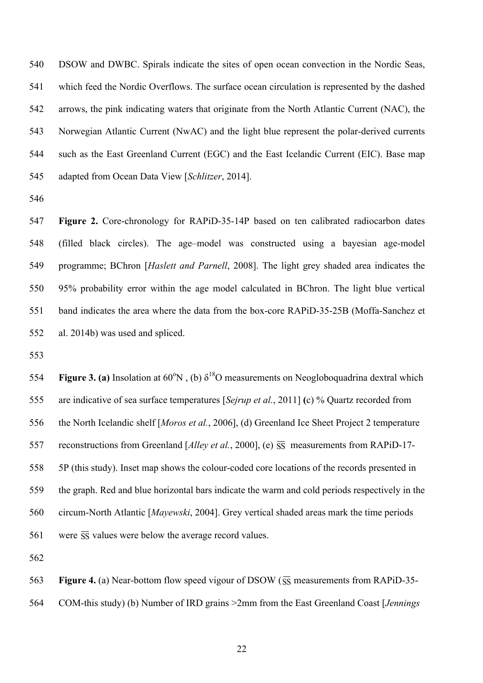DSOW and DWBC. Spirals indicate the sites of open ocean convection in the Nordic Seas, which feed the Nordic Overflows. The surface ocean circulation is represented by the dashed arrows, the pink indicating waters that originate from the North Atlantic Current (NAC), the Norwegian Atlantic Current (NwAC) and the light blue represent the polar-derived currents such as the East Greenland Current (EGC) and the East Icelandic Current (EIC). Base map adapted from Ocean Data View [*Schlitzer*, 2014].

 **Figure 2.** Core-chronology for RAPiD-35-14P based on ten calibrated radiocarbon dates (filled black circles). The age–model was constructed using a bayesian age-model programme; BChron [*Haslett and Parnell*, 2008]. The light grey shaded area indicates the 95% probability error within the age model calculated in BChron. The light blue vertical band indicates the area where the data from the box-core RAPiD-35-25B (Moffa-Sanchez et al. 2014b) was used and spliced.

**Figure 3. (a)** Insolation at  $60^{\circ}N$ , (b)  $\delta^{18}O$  measurements on Neogloboquadrina dextral which are indicative of sea surface temperatures [*Sejrup et al.*, 2011] **(**c) % Quartz recorded from the North Icelandic shelf [*Moros et al.*, 2006], (d) Greenland Ice Sheet Project 2 temperature 557 reconstructions from Greenland [*Alley et al.*, 2000], (e)  $\overline{SS}$  measurements from RAPiD-17- 5P (this study). Inset map shows the colour-coded core locations of the records presented in the graph. Red and blue horizontal bars indicate the warm and cold periods respectively in the circum-North Atlantic [*Mayewski*, 2004]. Grey vertical shaded areas mark the time periods 561 were  $\overline{SS}$  values were below the average record values.

563 **Figure 4.** (a) Near-bottom flow speed vigour of DSOW  $(\overline{SS})$  measurements from RAPiD-35-COM-this study) (b) Number of IRD grains >2mm from the East Greenland Coast [*Jennings*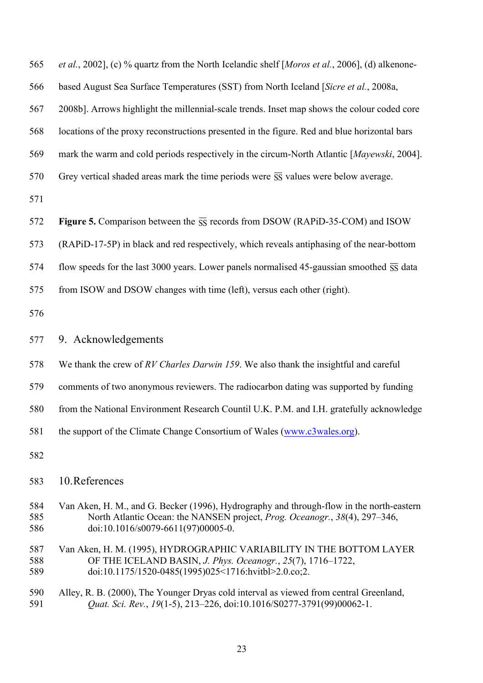*et al.*, 2002], (c) % quartz from the North Icelandic shelf [*Moros et al.*, 2006], (d) alkenone-

based August Sea Surface Temperatures (SST) from North Iceland [*Sicre et al.*, 2008a,

2008b]. Arrows highlight the millennial-scale trends. Inset map shows the colour coded core

locations of the proxy reconstructions presented in the figure. Red and blue horizontal bars

mark the warm and cold periods respectively in the circum-North Atlantic [*Mayewski*, 2004].

570 Grey vertical shaded areas mark the time periods were  $\overline{SS}$  values were below average.

572 **Figure 5.** Comparison between the  $\overline{SS}$  records from DSOW (RAPiD-35-COM) and ISOW

(RAPiD-17-5P) in black and red respectively, which reveals antiphasing of the near-bottom

574 flow speeds for the last 3000 years. Lower panels normalised 45-gaussian smoothed  $\overline{\text{ss}}$  data

from ISOW and DSOW changes with time (left), versus each other (right).

9. Acknowledgements

- We thank the crew of *RV Charles Darwin 159*. We also thank the insightful and careful
- comments of two anonymous reviewers. The radiocarbon dating was supported by funding
- from the National Environment Research Countil U.K. P.M. and I.H. gratefully acknowledge
- the support of the Climate Change Consortium of Wales (www.c3wales.org).
- 

### 10.References

- Van Aken, H. M., and G. Becker (1996), Hydrography and through-flow in the north-eastern North Atlantic Ocean: the NANSEN project, *Prog. Oceanogr.*, *38*(4), 297–346, 586 doi:10.1016/s0079-6611(97)00005-0.
- Van Aken, H. M. (1995), HYDROGRAPHIC VARIABILITY IN THE BOTTOM LAYER OF THE ICELAND BASIN, *J. Phys. Oceanogr.*, *25*(7), 1716–1722, doi:10.1175/1520-0485(1995)025<1716:hvitbl>2.0.co;2.
- Alley, R. B. (2000), The Younger Dryas cold interval as viewed from central Greenland, *Quat. Sci. Rev.*, *19*(1-5), 213–226, doi:10.1016/S0277-3791(99)00062-1.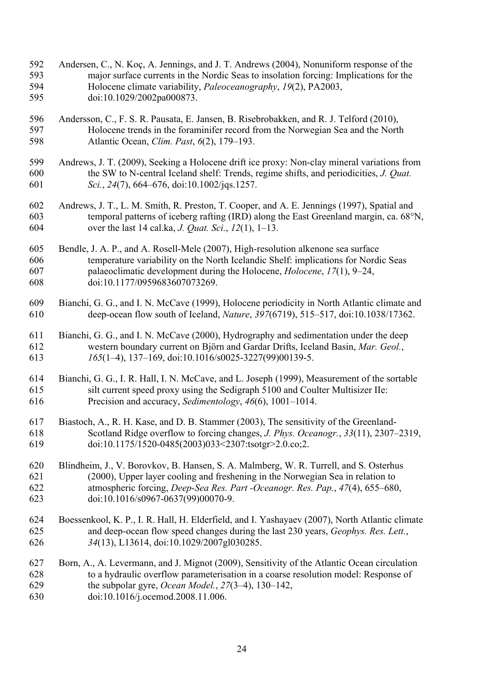- Andersen, C., N. Koç, A. Jennings, and J. T. Andrews (2004), Nonuniform response of the major surface currents in the Nordic Seas to insolation forcing: Implications for the Holocene climate variability, *Paleoceanography*, *19*(2), PA2003, doi:10.1029/2002pa000873.
- Andersson, C., F. S. R. Pausata, E. Jansen, B. Risebrobakken, and R. J. Telford (2010), Holocene trends in the foraminifer record from the Norwegian Sea and the North Atlantic Ocean, *Clim. Past*, *6*(2), 179–193.
- Andrews, J. T. (2009), Seeking a Holocene drift ice proxy: Non-clay mineral variations from the SW to N-central Iceland shelf: Trends, regime shifts, and periodicities, *J. Quat. Sci.*, *24*(7), 664–676, doi:10.1002/jqs.1257.
- Andrews, J. T., L. M. Smith, R. Preston, T. Cooper, and A. E. Jennings (1997), Spatial and temporal patterns of iceberg rafting (IRD) along the East Greenland margin, ca. 68°N, over the last 14 cal.ka, *J. Quat. Sci.*, *12*(1), 1–13.
- Bendle, J. A. P., and A. Rosell-Mele (2007), High-resolution alkenone sea surface temperature variability on the North Icelandic Shelf: implications for Nordic Seas palaeoclimatic development during the Holocene, *Holocene*, *17*(1), 9–24, doi:10.1177/0959683607073269.
- Bianchi, G. G., and I. N. McCave (1999), Holocene periodicity in North Atlantic climate and deep-ocean flow south of Iceland, *Nature*, *397*(6719), 515–517, doi:10.1038/17362.
- Bianchi, G. G., and I. N. McCave (2000), Hydrography and sedimentation under the deep western boundary current on Björn and Gardar Drifts, Iceland Basin, *Mar. Geol.*, *165*(1–4), 137–169, doi:10.1016/s0025-3227(99)00139-5.
- Bianchi, G. G., I. R. Hall, I. N. McCave, and L. Joseph (1999), Measurement of the sortable silt current speed proxy using the Sedigraph 5100 and Coulter Multisizer IIe: Precision and accuracy, *Sedimentology*, *46*(6), 1001–1014.
- Biastoch, A., R. H. Kase, and D. B. Stammer (2003), The sensitivity of the Greenland- Scotland Ridge overflow to forcing changes, *J. Phys. Oceanogr.*, *33*(11), 2307–2319, doi:10.1175/1520-0485(2003)033<2307:tsotgr>2.0.co;2.
- Blindheim, J., V. Borovkov, B. Hansen, S. A. Malmberg, W. R. Turrell, and S. Osterhus (2000), Upper layer cooling and freshening in the Norwegian Sea in relation to atmospheric forcing, *Deep-Sea Res. Part -Oceanogr. Res. Pap.*, *47*(4), 655–680, doi:10.1016/s0967-0637(99)00070-9.
- Boessenkool, K. P., I. R. Hall, H. Elderfield, and I. Yashayaev (2007), North Atlantic climate and deep-ocean flow speed changes during the last 230 years, *Geophys. Res. Lett.*, *34*(13), L13614, doi:10.1029/2007gl030285.
- Born, A., A. Levermann, and J. Mignot (2009), Sensitivity of the Atlantic Ocean circulation to a hydraulic overflow parameterisation in a coarse resolution model: Response of the subpolar gyre, *Ocean Model.*, *27*(3–4), 130–142, doi:10.1016/j.ocemod.2008.11.006.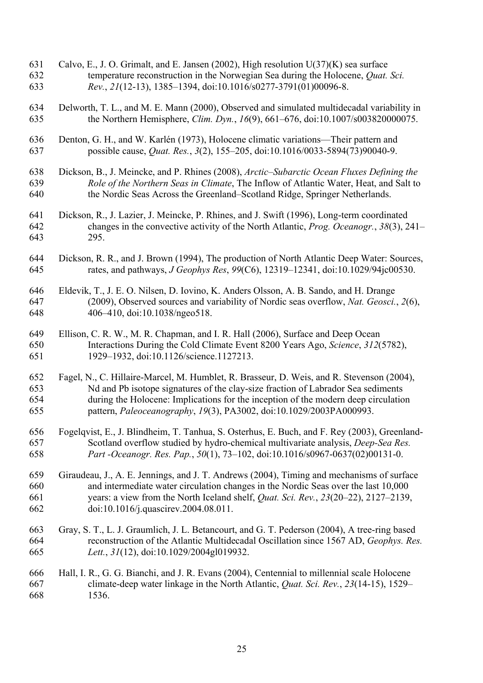- Calvo, E., J. O. Grimalt, and E. Jansen (2002), High resolution U(37)(K) sea surface temperature reconstruction in the Norwegian Sea during the Holocene, *Quat. Sci. Rev.*, *21*(12-13), 1385–1394, doi:10.1016/s0277-3791(01)00096-8.
- Delworth, T. L., and M. E. Mann (2000), Observed and simulated multidecadal variability in the Northern Hemisphere, *Clim. Dyn.*, *16*(9), 661–676, doi:10.1007/s003820000075.
- Denton, G. H., and W. Karlén (1973), Holocene climatic variations—Their pattern and possible cause, *Quat. Res.*, *3*(2), 155–205, doi:10.1016/0033-5894(73)90040-9.
- Dickson, B., J. Meincke, and P. Rhines (2008), *Arctic–Subarctic Ocean Fluxes Defining the Role of the Northern Seas in Climate*, The Inflow of Atlantic Water, Heat, and Salt to the Nordic Seas Across the Greenland–Scotland Ridge, Springer Netherlands.
- Dickson, R., J. Lazier, J. Meincke, P. Rhines, and J. Swift (1996), Long-term coordinated changes in the convective activity of the North Atlantic, *Prog. Oceanogr.*, *38*(3), 241– 295.
- Dickson, R. R., and J. Brown (1994), The production of North Atlantic Deep Water: Sources, rates, and pathways, *J Geophys Res*, *99*(C6), 12319–12341, doi:10.1029/94jc00530.
- Eldevik, T., J. E. O. Nilsen, D. Iovino, K. Anders Olsson, A. B. Sando, and H. Drange (2009), Observed sources and variability of Nordic seas overflow, *Nat. Geosci.*, *2*(6), 406–410, doi:10.1038/ngeo518.
- Ellison, C. R. W., M. R. Chapman, and I. R. Hall (2006), Surface and Deep Ocean Interactions During the Cold Climate Event 8200 Years Ago, *Science*, *312*(5782), 1929–1932, doi:10.1126/science.1127213.
- Fagel, N., C. Hillaire-Marcel, M. Humblet, R. Brasseur, D. Weis, and R. Stevenson (2004), Nd and Pb isotope signatures of the clay-size fraction of Labrador Sea sediments during the Holocene: Implications for the inception of the modern deep circulation pattern, *Paleoceanography*, *19*(3), PA3002, doi:10.1029/2003PA000993.
- Fogelqvist, E., J. Blindheim, T. Tanhua, S. Osterhus, E. Buch, and F. Rey (2003), Greenland- Scotland overflow studied by hydro-chemical multivariate analysis, *Deep-Sea Res. Part -Oceanogr. Res. Pap.*, *50*(1), 73–102, doi:10.1016/s0967-0637(02)00131-0.
- Giraudeau, J., A. E. Jennings, and J. T. Andrews (2004), Timing and mechanisms of surface and intermediate water circulation changes in the Nordic Seas over the last 10,000 years: a view from the North Iceland shelf, *Quat. Sci. Rev.*, *23*(20–22), 2127–2139, doi:10.1016/j.quascirev.2004.08.011.
- Gray, S. T., L. J. Graumlich, J. L. Betancourt, and G. T. Pederson (2004), A tree-ring based reconstruction of the Atlantic Multidecadal Oscillation since 1567 AD, *Geophys. Res. Lett.*, *31*(12), doi:10.1029/2004gl019932.

 Hall, I. R., G. G. Bianchi, and J. R. Evans (2004), Centennial to millennial scale Holocene climate-deep water linkage in the North Atlantic, *Quat. Sci. Rev.*, *23*(14-15), 1529– 1536.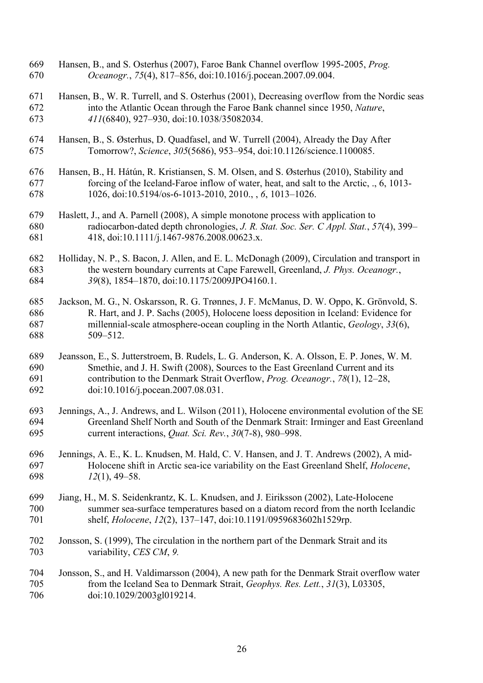- Hansen, B., and S. Osterhus (2007), Faroe Bank Channel overflow 1995-2005, *Prog. Oceanogr.*, *75*(4), 817–856, doi:10.1016/j.pocean.2007.09.004.
- Hansen, B., W. R. Turrell, and S. Osterhus (2001), Decreasing overflow from the Nordic seas into the Atlantic Ocean through the Faroe Bank channel since 1950, *Nature*, *411*(6840), 927–930, doi:10.1038/35082034.
- Hansen, B., S. Østerhus, D. Quadfasel, and W. Turrell (2004), Already the Day After Tomorrow?, *Science*, *305*(5686), 953–954, doi:10.1126/science.1100085.
- Hansen, B., H. Hátún, R. Kristiansen, S. M. Olsen, and S. Østerhus (2010), Stability and forcing of the Iceland-Faroe inflow of water, heat, and salt to the Arctic, ., 6, 1013- 1026, doi:10.5194/os-6-1013-2010, 2010., , *6*, 1013–1026.
- Haslett, J., and A. Parnell (2008), A simple monotone process with application to radiocarbon-dated depth chronologies, *J. R. Stat. Soc. Ser. C Appl. Stat.*, *57*(4), 399– 418, doi:10.1111/j.1467-9876.2008.00623.x.
- Holliday, N. P., S. Bacon, J. Allen, and E. L. McDonagh (2009), Circulation and transport in the western boundary currents at Cape Farewell, Greenland, *J. Phys. Oceanogr.*, *39*(8), 1854–1870, doi:10.1175/2009JPO4160.1.
- Jackson, M. G., N. Oskarsson, R. G. Trønnes, J. F. McManus, D. W. Oppo, K. Grönvold, S. R. Hart, and J. P. Sachs (2005), Holocene loess deposition in Iceland: Evidence for millennial-scale atmosphere-ocean coupling in the North Atlantic, *Geology*, *33*(6), 509–512.
- Jeansson, E., S. Jutterstroem, B. Rudels, L. G. Anderson, K. A. Olsson, E. P. Jones, W. M. Smethie, and J. H. Swift (2008), Sources to the East Greenland Current and its contribution to the Denmark Strait Overflow, *Prog. Oceanogr.*, *78*(1), 12–28, doi:10.1016/j.pocean.2007.08.031.
- Jennings, A., J. Andrews, and L. Wilson (2011), Holocene environmental evolution of the SE Greenland Shelf North and South of the Denmark Strait: Irminger and East Greenland current interactions, *Quat. Sci. Rev.*, *30*(7-8), 980–998.
- Jennings, A. E., K. L. Knudsen, M. Hald, C. V. Hansen, and J. T. Andrews (2002), A mid- Holocene shift in Arctic sea-ice variability on the East Greenland Shelf, *Holocene*, *12*(1), 49–58.
- Jiang, H., M. S. Seidenkrantz, K. L. Knudsen, and J. Eiriksson (2002), Late-Holocene summer sea-surface temperatures based on a diatom record from the north Icelandic shelf, *Holocene*, *12*(2), 137–147, doi:10.1191/0959683602h1529rp.
- Jonsson, S. (1999), The circulation in the northern part of the Denmark Strait and its variability, *CES CM*, *9.*
- Jonsson, S., and H. Valdimarsson (2004), A new path for the Denmark Strait overflow water from the Iceland Sea to Denmark Strait, *Geophys. Res. Lett.*, *31*(3), L03305, doi:10.1029/2003gl019214.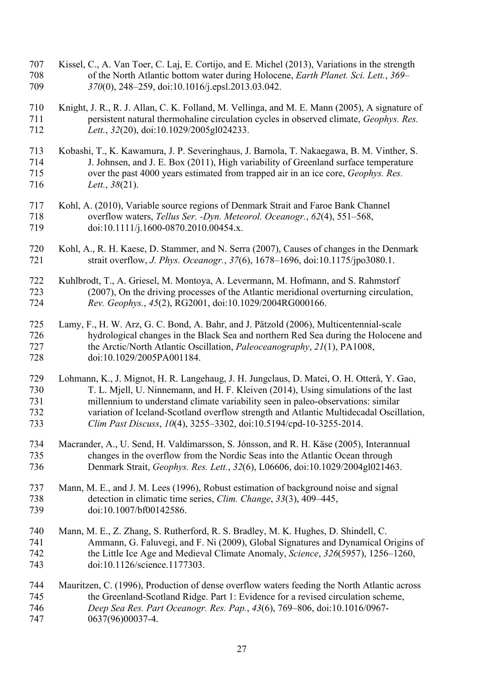- Kissel, C., A. Van Toer, C. Laj, E. Cortijo, and E. Michel (2013), Variations in the strength of the North Atlantic bottom water during Holocene, *Earth Planet. Sci. Lett.*, *369– 370*(0), 248–259, doi:10.1016/j.epsl.2013.03.042.
- Knight, J. R., R. J. Allan, C. K. Folland, M. Vellinga, and M. E. Mann (2005), A signature of persistent natural thermohaline circulation cycles in observed climate, *Geophys. Res. Lett.*, *32*(20), doi:10.1029/2005gl024233.
- Kobashi, T., K. Kawamura, J. P. Severinghaus, J. Barnola, T. Nakaegawa, B. M. Vinther, S. J. Johnsen, and J. E. Box (2011), High variability of Greenland surface temperature over the past 4000 years estimated from trapped air in an ice core, *Geophys. Res. Lett.*, *38*(21).
- Kohl, A. (2010), Variable source regions of Denmark Strait and Faroe Bank Channel overflow waters, *Tellus Ser. -Dyn. Meteorol. Oceanogr.*, *62*(4), 551–568, 719 doi:10.1111/j.1600-0870.2010.00454.x.
- Kohl, A., R. H. Kaese, D. Stammer, and N. Serra (2007), Causes of changes in the Denmark strait overflow, *J. Phys. Oceanogr.*, *37*(6), 1678–1696, doi:10.1175/jpo3080.1.
- Kuhlbrodt, T., A. Griesel, M. Montoya, A. Levermann, M. Hofmann, and S. Rahmstorf (2007), On the driving processes of the Atlantic meridional overturning circulation, *Rev. Geophys.*, *45*(2), RG2001, doi:10.1029/2004RG000166.
- Lamy, F., H. W. Arz, G. C. Bond, A. Bahr, and J. Pätzold (2006), Multicentennial-scale hydrological changes in the Black Sea and northern Red Sea during the Holocene and the Arctic/North Atlantic Oscillation, *Paleoceanography*, *21*(1), PA1008, doi:10.1029/2005PA001184.
- Lohmann, K., J. Mignot, H. R. Langehaug, J. H. Jungclaus, D. Matei, O. H. Otterå, Y. Gao, T. L. Mjell, U. Ninnemann, and H. F. Kleiven (2014), Using simulations of the last millennium to understand climate variability seen in paleo-observations: similar variation of Iceland-Scotland overflow strength and Atlantic Multidecadal Oscillation, *Clim Past Discuss*, *10*(4), 3255–3302, doi:10.5194/cpd-10-3255-2014.
- Macrander, A., U. Send, H. Valdimarsson, S. Jónsson, and R. H. Käse (2005), Interannual changes in the overflow from the Nordic Seas into the Atlantic Ocean through Denmark Strait, *Geophys. Res. Lett.*, *32*(6), L06606, doi:10.1029/2004gl021463.
- Mann, M. E., and J. M. Lees (1996), Robust estimation of background noise and signal detection in climatic time series, *Clim. Change*, *33*(3), 409–445, 739 doi:10.1007/bf00142586.
- Mann, M. E., Z. Zhang, S. Rutherford, R. S. Bradley, M. K. Hughes, D. Shindell, C. Ammann, G. Faluvegi, and F. Ni (2009), Global Signatures and Dynamical Origins of the Little Ice Age and Medieval Climate Anomaly, *Science*, *326*(5957), 1256–1260, doi:10.1126/science.1177303.
- Mauritzen, C. (1996), Production of dense overflow waters feeding the North Atlantic across the Greenland-Scotland Ridge. Part 1: Evidence for a revised circulation scheme, *Deep Sea Res. Part Oceanogr. Res. Pap.*, *43*(6), 769–806, doi:10.1016/0967- 0637(96)00037-4.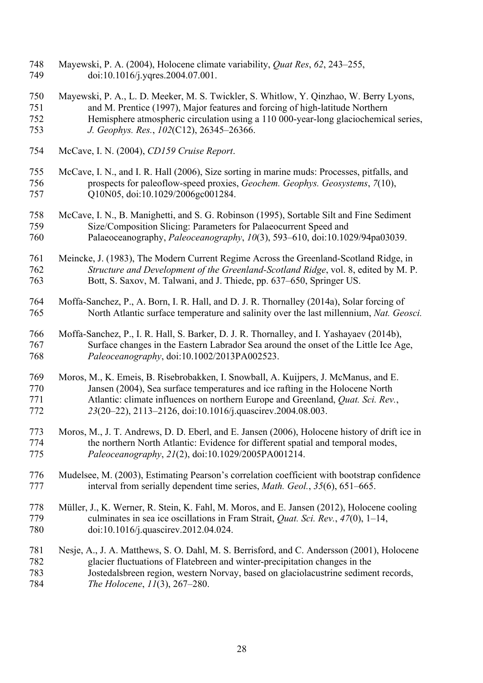- Mayewski, P. A. (2004), Holocene climate variability, *Quat Res*, *62*, 243–255, 749 doi:10.1016/j.yqres.2004.07.001.
- Mayewski, P. A., L. D. Meeker, M. S. Twickler, S. Whitlow, Y. Qinzhao, W. Berry Lyons, and M. Prentice (1997), Major features and forcing of high-latitude Northern Hemisphere atmospheric circulation using a 110 000-year-long glaciochemical series, *J. Geophys. Res.*, *102*(C12), 26345–26366.
- McCave, I. N. (2004), *CD159 Cruise Report*.
- McCave, I. N., and I. R. Hall (2006), Size sorting in marine muds: Processes, pitfalls, and prospects for paleoflow-speed proxies, *Geochem. Geophys. Geosystems*, *7*(10), 757 Q10N05, doi:10.1029/2006gc001284.
- McCave, I. N., B. Manighetti, and S. G. Robinson (1995), Sortable Silt and Fine Sediment Size/Composition Slicing: Parameters for Palaeocurrent Speed and Palaeoceanography, *Paleoceanography*, *10*(3), 593–610, doi:10.1029/94pa03039.
- Meincke, J. (1983), The Modern Current Regime Across the Greenland-Scotland Ridge, in *Structure and Development of the Greenland-Scotland Ridge*, vol. 8, edited by M. P. Bott, S. Saxov, M. Talwani, and J. Thiede, pp. 637–650, Springer US.
- Moffa-Sanchez, P., A. Born, I. R. Hall, and D. J. R. Thornalley (2014a), Solar forcing of North Atlantic surface temperature and salinity over the last millennium, *Nat. Geosci.*
- Moffa-Sanchez, P., I. R. Hall, S. Barker, D. J. R. Thornalley, and I. Yashayaev (2014b), Surface changes in the Eastern Labrador Sea around the onset of the Little Ice Age, *Paleoceanography*, doi:10.1002/2013PA002523.
- Moros, M., K. Emeis, B. Risebrobakken, I. Snowball, A. Kuijpers, J. McManus, and E. Jansen (2004), Sea surface temperatures and ice rafting in the Holocene North Atlantic: climate influences on northern Europe and Greenland, *Quat. Sci. Rev.*, *23*(20–22), 2113–2126, doi:10.1016/j.quascirev.2004.08.003.
- Moros, M., J. T. Andrews, D. D. Eberl, and E. Jansen (2006), Holocene history of drift ice in the northern North Atlantic: Evidence for different spatial and temporal modes, *Paleoceanography*, *21*(2), doi:10.1029/2005PA001214.
- Mudelsee, M. (2003), Estimating Pearson's correlation coefficient with bootstrap confidence interval from serially dependent time series, *Math. Geol.*, *35*(6), 651–665.
- Müller, J., K. Werner, R. Stein, K. Fahl, M. Moros, and E. Jansen (2012), Holocene cooling culminates in sea ice oscillations in Fram Strait, *Quat. Sci. Rev.*, *47*(0), 1–14, doi:10.1016/j.quascirev.2012.04.024.
- Nesje, A., J. A. Matthews, S. O. Dahl, M. S. Berrisford, and C. Andersson (2001), Holocene glacier fluctuations of Flatebreen and winter-precipitation changes in the Jostedalsbreen region, western Norvay, based on glaciolacustrine sediment records, *The Holocene*, *11*(3), 267–280.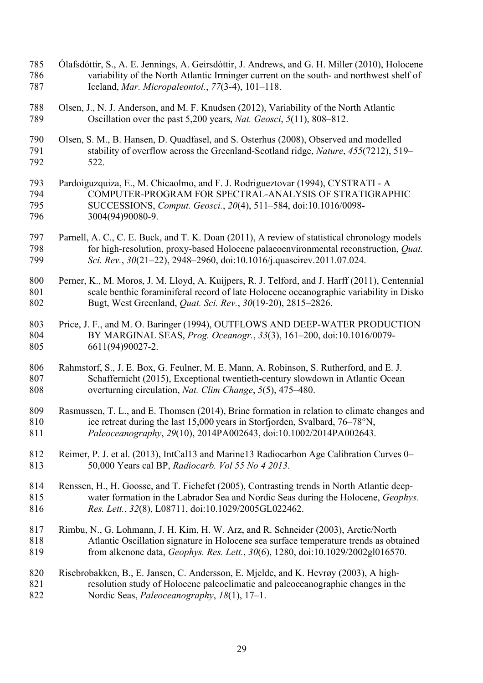- Ólafsdóttir, S., A. E. Jennings, A. Geirsdóttir, J. Andrews, and G. H. Miller (2010), Holocene variability of the North Atlantic Irminger current on the south- and northwest shelf of Iceland, *Mar. Micropaleontol.*, *77*(3-4), 101–118.
- Olsen, J., N. J. Anderson, and M. F. Knudsen (2012), Variability of the North Atlantic Oscillation over the past 5,200 years, *Nat. Geosci*, *5*(11), 808–812.
- Olsen, S. M., B. Hansen, D. Quadfasel, and S. Osterhus (2008), Observed and modelled stability of overflow across the Greenland-Scotland ridge, *Nature*, *455*(7212), 519– 522.
- Pardoiguzquiza, E., M. Chicaolmo, and F. J. Rodrigueztovar (1994), CYSTRATI A COMPUTER-PROGRAM FOR SPECTRAL-ANALYSIS OF STRATIGRAPHIC SUCCESSIONS, *Comput. Geosci.*, *20*(4), 511–584, doi:10.1016/0098- 3004(94)90080-9.
- Parnell, A. C., C. E. Buck, and T. K. Doan (2011), A review of statistical chronology models for high-resolution, proxy-based Holocene palaeoenvironmental reconstruction, *Quat. Sci. Rev.*, *30*(21–22), 2948–2960, doi:10.1016/j.quascirev.2011.07.024.
- 800 Perner, K., M. Moros, J. M. Lloyd, A. Kuijpers, R. J. Telford, and J. Harff (2011), Centennial scale benthic foraminiferal record of late Holocene oceanographic variability in Disko Bugt, West Greenland, *Quat. Sci. Rev.*, *30*(19-20), 2815–2826.
- Price, J. F., and M. O. Baringer (1994), OUTFLOWS AND DEEP-WATER PRODUCTION BY MARGINAL SEAS, *Prog. Oceanogr.*, *33*(3), 161–200, doi:10.1016/0079- 6611(94)90027-2.
- 806 Rahmstorf, S., J. E. Box, G. Feulner, M. E. Mann, A. Robinson, S. Rutherford, and E. J. Schaffernicht (2015), Exceptional twentieth-century slowdown in Atlantic Ocean overturning circulation, *Nat. Clim Change*, *5*(5), 475–480.
- Rasmussen, T. L., and E. Thomsen (2014), Brine formation in relation to climate changes and ice retreat during the last 15,000 years in Storfjorden, Svalbard, 76–78°N, *Paleoceanography*, *29*(10), 2014PA002643, doi:10.1002/2014PA002643.
- Reimer, P. J. et al. (2013), IntCal13 and Marine13 Radiocarbon Age Calibration Curves 0– 50,000 Years cal BP, *Radiocarb. Vol 55 No 4 2013*.
- Renssen, H., H. Goosse, and T. Fichefet (2005), Contrasting trends in North Atlantic deep- water formation in the Labrador Sea and Nordic Seas during the Holocene, *Geophys. Res. Lett.*, *32*(8), L08711, doi:10.1029/2005GL022462.
- Rimbu, N., G. Lohmann, J. H. Kim, H. W. Arz, and R. Schneider (2003), Arctic/North Atlantic Oscillation signature in Holocene sea surface temperature trends as obtained from alkenone data, *Geophys. Res. Lett.*, *30*(6), 1280, doi:10.1029/2002gl016570.
- Risebrobakken, B., E. Jansen, C. Andersson, E. Mjelde, and K. Hevrøy (2003), A high- resolution study of Holocene paleoclimatic and paleoceanographic changes in the Nordic Seas, *Paleoceanography*, *18*(1), 17–1.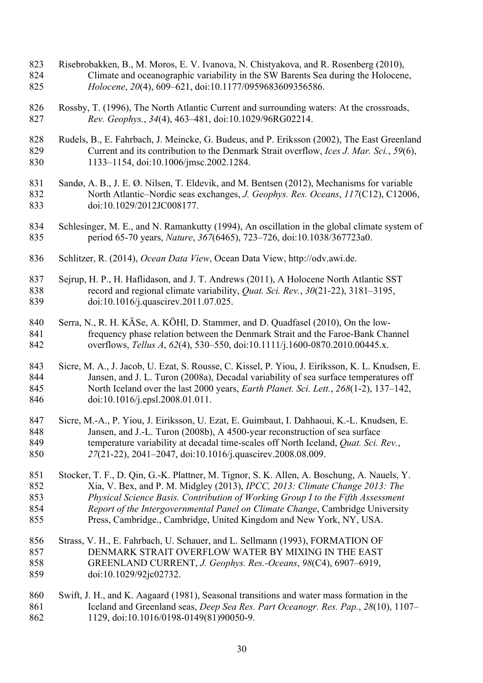- Risebrobakken, B., M. Moros, E. V. Ivanova, N. Chistyakova, and R. Rosenberg (2010), Climate and oceanographic variability in the SW Barents Sea during the Holocene, *Holocene*, *20*(4), 609–621, doi:10.1177/0959683609356586.
- Rossby, T. (1996), The North Atlantic Current and surrounding waters: At the crossroads, *Rev. Geophys.*, *34*(4), 463–481, doi:10.1029/96RG02214.
- Rudels, B., E. Fahrbach, J. Meincke, G. Budeus, and P. Eriksson (2002), The East Greenland Current and its contribution to the Denmark Strait overflow, *Ices J. Mar. Sci.*, *59*(6), 1133–1154, doi:10.1006/jmsc.2002.1284.
- Sandø, A. B., J. E. Ø. Nilsen, T. Eldevik, and M. Bentsen (2012), Mechanisms for variable North Atlantic–Nordic seas exchanges, *J. Geophys. Res. Oceans*, *117*(C12), C12006, doi:10.1029/2012JC008177.
- Schlesinger, M. E., and N. Ramankutty (1994), An oscillation in the global climate system of period 65-70 years, *Nature*, *367*(6465), 723–726, doi:10.1038/367723a0.
- Schlitzer, R. (2014), *Ocean Data View*, Ocean Data View, http://odv.awi.de.
- Sejrup, H. P., H. Haflidason, and J. T. Andrews (2011), A Holocene North Atlantic SST record and regional climate variability, *Quat. Sci. Rev.*, *30*(21-22), 3181–3195, doi:10.1016/j.quascirev.2011.07.025.
- Serra, N., R. H. KÄSe, A. KÖHl, D. Stammer, and D. Quadfasel (2010), On the low- frequency phase relation between the Denmark Strait and the Faroe-Bank Channel overflows, *Tellus A*, *62*(4), 530–550, doi:10.1111/j.1600-0870.2010.00445.x.
- Sicre, M. A., J. Jacob, U. Ezat, S. Rousse, C. Kissel, P. Yiou, J. Eiríksson, K. L. Knudsen, E. Jansen, and J. L. Turon (2008a), Decadal variability of sea surface temperatures off North Iceland over the last 2000 years, *Earth Planet. Sci. Lett.*, *268*(1-2), 137–142, doi:10.1016/j.epsl.2008.01.011.
- Sicre, M.-A., P. Yiou, J. Eiriksson, U. Ezat, E. Guimbaut, I. Dahhaoui, K.-L. Knudsen, E. Jansen, and J.-L. Turon (2008b), A 4500-year reconstruction of sea surface temperature variability at decadal time-scales off North Iceland, *Quat. Sci. Rev.*, *27*(21-22), 2041–2047, doi:10.1016/j.quascirev.2008.08.009.
- Stocker, T. F., D. Qin, G.-K. Plattner, M. Tignor, S. K. Allen, A. Boschung, A. Nauels, Y. Xia, V. Bex, and P. M. Midgley (2013), *IPCC, 2013: Climate Change 2013: The Physical Science Basis. Contribution of Working Group I to the Fifth Assessment Report of the Intergovernmental Panel on Climate Change*, Cambridge University Press, Cambridge., Cambridge, United Kingdom and New York, NY, USA.
- Strass, V. H., E. Fahrbach, U. Schauer, and L. Sellmann (1993), FORMATION OF DENMARK STRAIT OVERFLOW WATER BY MIXING IN THE EAST GREENLAND CURRENT, *J. Geophys. Res.-Oceans*, *98*(C4), 6907–6919, doi:10.1029/92jc02732.
- Swift, J. H., and K. Aagaard (1981), Seasonal transitions and water mass formation in the Iceland and Greenland seas, *Deep Sea Res. Part Oceanogr. Res. Pap.*, *28*(10), 1107– 1129, doi:10.1016/0198-0149(81)90050-9.